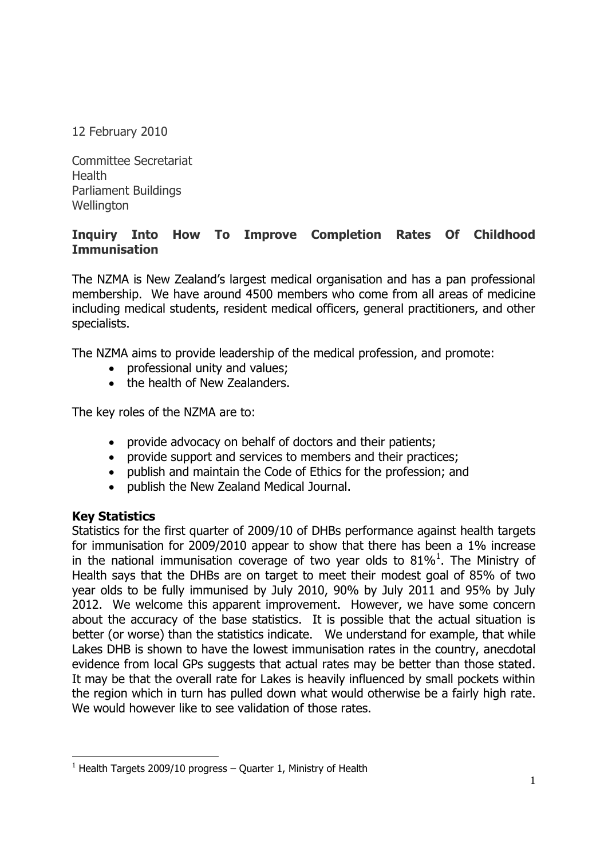12 February 2010

Committee Secretariat Health Parliament Buildings Wellington

# **Inquiry Into How To Improve Completion Rates Of Childhood Immunisation**

The NZMA is New Zealand's largest medical organisation and has a pan professional membership. We have around 4500 members who come from all areas of medicine including medical students, resident medical officers, general practitioners, and other specialists.

The NZMA aims to provide leadership of the medical profession, and promote:

- professional unity and values;
- the health of New Zealanders.

The key roles of the NZMA are to:

- provide advocacy on behalf of doctors and their patients;
- provide support and services to members and their practices;
- publish and maintain the Code of Ethics for the profession; and
- publish the New Zealand Medical Journal.

## **Key Statistics**

Statistics for the first quarter of 2009/10 of DHBs performance against health targets for immunisation for 2009/2010 appear to show that there has been a 1% increase in the national immunisation coverage of two year olds to  $81\%$ <sup>1</sup>. The Ministry of Health says that the DHBs are on target to meet their modest goal of 85% of two year olds to be fully immunised by July 2010, 90% by July 2011 and 95% by July 2012. We welcome this apparent improvement. However, we have some concern about the accuracy of the base statistics. It is possible that the actual situation is better (or worse) than the statistics indicate. We understand for example, that while Lakes DHB is shown to have the lowest immunisation rates in the country, anecdotal evidence from local GPs suggests that actual rates may be better than those stated. It may be that the overall rate for Lakes is heavily influenced by small pockets within the region which in turn has pulled down what would otherwise be a fairly high rate. We would however like to see validation of those rates.

l  $1$  Health Targets 2009/10 progress – Quarter 1, Ministry of Health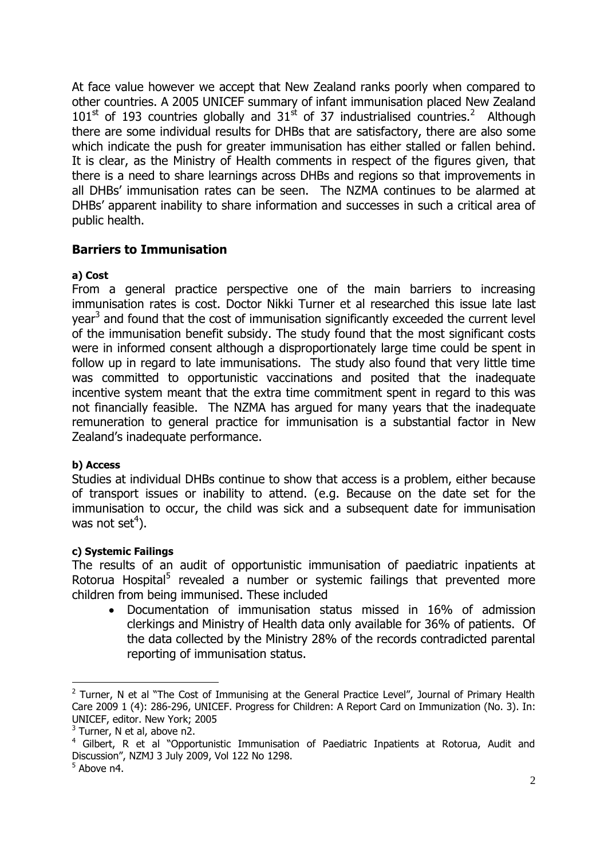At face value however we accept that New Zealand ranks poorly when compared to other countries. A 2005 UNICEF summary of infant immunisation placed New Zealand  $101<sup>st</sup>$  of 193 countries globally and  $31<sup>st</sup>$  of 37 industrialised countries.<sup>2</sup> Although there are some individual results for DHBs that are satisfactory, there are also some which indicate the push for greater immunisation has either stalled or fallen behind. It is clear, as the Ministry of Health comments in respect of the figures given, that there is a need to share learnings across DHBs and regions so that improvements in all DHBs' immunisation rates can be seen. The NZMA continues to be alarmed at DHBs' apparent inability to share information and successes in such a critical area of public health.

## **Barriers to Immunisation**

### **a) Cost**

From a general practice perspective one of the main barriers to increasing immunisation rates is cost. Doctor Nikki Turner et al researched this issue late last year<sup>3</sup> and found that the cost of immunisation significantly exceeded the current level of the immunisation benefit subsidy. The study found that the most significant costs were in informed consent although a disproportionately large time could be spent in follow up in regard to late immunisations. The study also found that very little time was committed to opportunistic vaccinations and posited that the inadequate incentive system meant that the extra time commitment spent in regard to this was not financially feasible. The NZMA has argued for many years that the inadequate remuneration to general practice for immunisation is a substantial factor in New Zealand's inadequate performance.

## **b) Access**

Studies at individual DHBs continue to show that access is a problem, either because of transport issues or inability to attend. (e.g. Because on the date set for the immunisation to occur, the child was sick and a subsequent date for immunisation was not set<sup>4</sup>).

#### **c) Systemic Failings**

The results of an audit of opportunistic immunisation of paediatric inpatients at Rotorua Hospital<sup>5</sup> revealed a number or systemic failings that prevented more children from being immunised. These included

 Documentation of immunisation status missed in 16% of admission clerkings and Ministry of Health data only available for 36% of patients. Of the data collected by the Ministry 28% of the records contradicted parental reporting of immunisation status.

l

 $2$  Turner, N et al "The Cost of Immunising at the General Practice Level", Journal of Primary Health Care 2009 1 (4): 286-296, UNICEF. Progress for Children: A Report Card on Immunization (No. 3). In: UNICEF, editor. New York; 2005

 $3$  Turner, N et al, above n2.

<sup>&</sup>lt;sup>4</sup> Gilbert, R et al "Opportunistic Immunisation of Paediatric Inpatients at Rotorua, Audit and Discussion", NZMJ 3 July 2009, Vol 122 No 1298.

<sup>&</sup>lt;sup>5</sup> Above n4.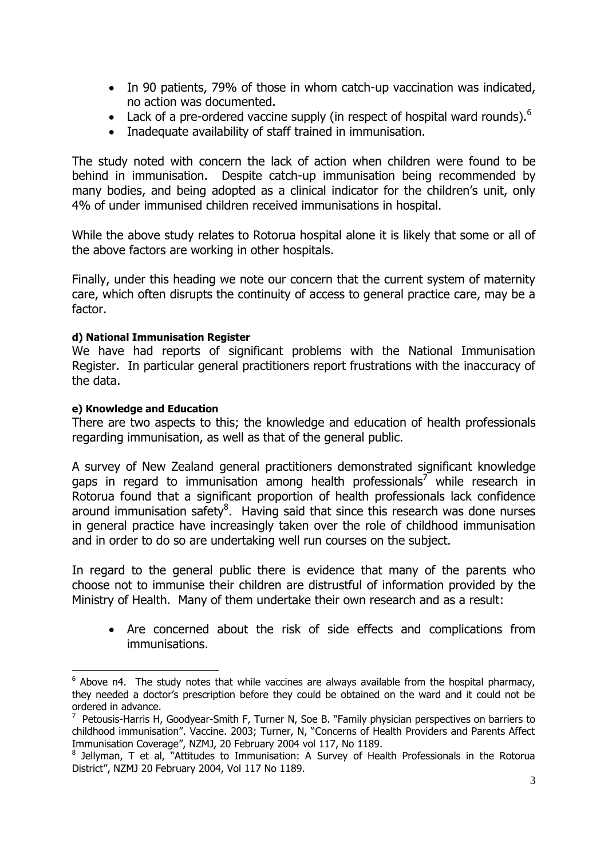- In 90 patients, 79% of those in whom catch-up vaccination was indicated, no action was documented.
- Lack of a pre-ordered vaccine supply (in respect of hospital ward rounds).<sup>6</sup>
- Inadequate availability of staff trained in immunisation.

The study noted with concern the lack of action when children were found to be behind in immunisation. Despite catch-up immunisation being recommended by many bodies, and being adopted as a clinical indicator for the children's unit, only 4% of under immunised children received immunisations in hospital.

While the above study relates to Rotorua hospital alone it is likely that some or all of the above factors are working in other hospitals.

Finally, under this heading we note our concern that the current system of maternity care, which often disrupts the continuity of access to general practice care, may be a factor.

#### **d) National Immunisation Register**

We have had reports of significant problems with the National Immunisation Register. In particular general practitioners report frustrations with the inaccuracy of the data.

#### **e) Knowledge and Education**

There are two aspects to this; the knowledge and education of health professionals regarding immunisation, as well as that of the general public.

A survey of New Zealand general practitioners demonstrated significant knowledge gaps in regard to immunisation among health professionals<sup>7</sup> while research in Rotorua found that a significant proportion of health professionals lack confidence around immunisation safety ${}^{8}$ . Having said that since this research was done nurses in general practice have increasingly taken over the role of childhood immunisation and in order to do so are undertaking well run courses on the subject.

In regard to the general public there is evidence that many of the parents who choose not to immunise their children are distrustful of information provided by the Ministry of Health. Many of them undertake their own research and as a result:

 Are concerned about the risk of side effects and complications from immunisations.

 6 Above n4. The study notes that while vaccines are always available from the hospital pharmacy, they needed a doctor's prescription before they could be obtained on the ward and it could not be ordered in advance.

<sup>7</sup> Petousis-Harris H, Goodyear-Smith F, Turner N, Soe B. "Family physician perspectives on barriers to childhood immunisation". Vaccine. 2003; Turner, N, "Concerns of Health Providers and Parents Affect Immunisation Coverage", NZMJ, 20 February 2004 vol 117, No 1189.

<sup>&</sup>lt;sup>8</sup> Jellyman, T et al, "Attitudes to Immunisation: A Survey of Health Professionals in the Rotorua District", NZMJ 20 February 2004, Vol 117 No 1189.